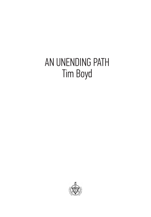## AN UNENDING PATH Tim Boyd

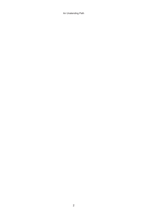An Unatending Path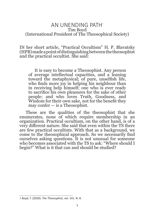## AN UNFNDING PATH Tim Boyd (International President of The Theosophical Society)

IN her short article, "Practical Occultism" H. P. Blavatsky (HPB) made a point of distinguishing between the theosophist and the practical occultist. She said:

It is easy to become a Theosophist. Any person of average intellectual capacities, and a leaning toward the metaphysical; of pure, unselfish life, who finds more joy in helping his neighbour than in receiving help himself; one who is ever ready to sacrifice his own pleasures for the sake of other people; and who loves Truth, Goodness, and Wisdom for their own sake, not for the benefit they  $may confer - is a Theosophist.$ 

These are the qualities of the theosophist that she enumerates, none of which require membership in an organization. Practical occultism, on the other hand, is of a very different nature. She said that even within the TS there are few practical occultists. With that as a background, we come to the theosophical approach. So we necessarily find ourselves asking questions. It is not unusual for someone who becomes associated with the TS to ask: "Where should I begin?" What is it that can and should be studied?

<sup>1</sup> Boyd, T. (2020). *The Theosophist*, vol. 141. N. 8.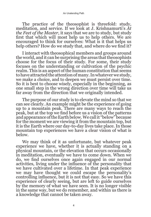The practice of the theosophist is threefold: study, meditation, and service. If we look at J. Krishnamurti's *At the Feet of the Master*, it says that we are to study, but study first that which will most help us to help others. We are encouraged to think for ourselves: What is it that helps us help others? How do we study that, and where do we find it?

I interact with theosophical members and groups around the world, and it can be surprising the areas that theosophists choose for the focus of their study. For some, their study focuses on the understanding or cultivation of the psychic realm. This is an aspect of the human constitution that seems to have attracted the attention of many. In whatever we study, we make a choice, and to deepen we must persist over time. So it is best to choose wisely, especially in the beginning, as one small step in the wrong direction over time will take us far away from the direction that we originally intended.

The purpose of our study is to elevate the mind so that we can see clearly. An example might be the experience of going up to a mountain peak. There are many ways to reach the peak, but at the top we find before us a vision of the patterns and appearance of the Earth below. We call it "below" because for the moment we are viewing it from the mountain top, but it is the Earth where our day-to-day lives take place. In those mountain top experiences we have a clear vision of what is below.

We may think of it as unfortunate, but whatever peak experience we have, whether it is actually standing on a physical mountain, or the elevation that occurs occasionally in meditation, eventually we have to come down. When we do, we find ourselves once again engaged in our normal activities, living under the influence of the personality that we have cultivated over a lifetime. In that peak experience we may have thought we could escape the personality's controlling influence, but it is not that easy. So we have this experience of clearly seeing, but are left to guide ourselves by the memory of what we have seen. It is no longer visible in the same way, but we do remember, and within us there is a knowledge that cannot be taken away.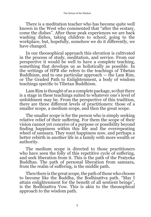There is a meditation teacher who has become quite well known in the West who commented that "after the ecstasy, come the dishes". After these peak experiences we are back washing dishes, taking children to school, going to the workplace, but, hopefully, somehow we do it differently, we have changed.

In our theosophical approach this elevation is cultivated in the process of study, meditation, and service. From our perspective it would be well to have a complete teaching, something that develops us as holistically as possible. In the writings of HPB she refers to the teachings of Tibetan Buddhism, and to one particular approach — the Lam Rim, or The Graded Path to Enlightenment, a body of wisdom teachings specific to Tibetan Buddhism.

Lam Rim is thought of as a complete package, so that there is a stage in these teachings suited to whatever one's level of unfoldment may be. From the perspective of this tradition, there are three different levels of practitioners: those of a smaller scope, a medium scope, and then the great scope.

The smaller scope is for the person who is simply seeking relative relief of their suffering. For them the scope of their vision cannot yet conceive of a purpose or possibility beyond finding happiness within this life and the everrepeating wheel of samsara. They want happiness now, and perhaps a better rebirth in another life in a family with more wealth or authority.

The medium scope is directed to those practitioners who have seen the folly of this repetitive cycle of suffering, and seek liberation from it. This is the path of the Pratyeka Buddhas. The path of personal liberation from samsara, from the realm of suffering, is the middle path.

Then there is the great scope, the path of those who choose to become like the Buddha, the Bodhisattva path. "May I attain enlightenment for the benefit of all sentient beings", is the Bodhisattva Vow. This is akin to the theosophical approach to the wisdom path.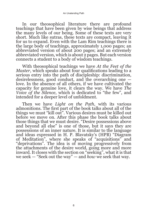In our theosophical literature there are profound teachings that have been given by wise beings that address the many levels of our being. Some of these texts are very short. Much like sutras, these texts are compact, leaving it for us to expand. Even with the Lam Rim teachings there is the large body of teachings, approximately 1,000 pages; an abbreviated version of about 200 pages; and an extremely abbreviated version, which is about 2 pages. But each version connects a student to a body of wisdom teachings.

With theosophical teachings we have *At the Feet of the Master*, which speaks about four qualifications leading to a serious entry into the path of discipleship: discrimination, desirelessness, good conduct, and the overarching one love. In the absence of all others, if we have cultivated the capacity for genuine love, it clears the way. We have *The Voice of the Silence*, which is dedicated to "the few", and intended for a deeper level of unfoldment.

Then we have *Light on the Path*, with its various admonitions. The first part of the book talks about all of the things we must "kill out". Various desires must be killed out before we move on. After this phase the book talks about those things that we must desire. "Desire possessions above and beyond all else" is one of those, but it says they are possessions of an inner nature. It is similar to the language and ideas expressed in H. P. Blavatsky's (HPB) "Diagram of Meditation", where she speaks of "acquisitions" and "deprivations". The idea is of moving progressively from the attachments of the desire world, going more and more inward. It closes with the section on "seeking", what it is that we seek — "Seek out the way" — and *how* we seek that way.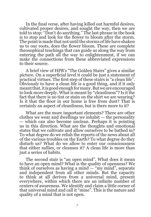In the final verse, after having killed out harmful desires, cultivated proper desires, and sought the way, then we are told to stop: "Don't do anything." The last phrase in the book is to stop and look for the flower to bloom after the storm. The point is made that not until the storms of life have shaken us to our roots, does the flower bloom. These are complete theosophical teachings that can guide us along the way from entering the path all the way to enlightenment, if we can make the connections from these abbreviated expressions to their source.

A brief view of HPB's "The Golden Stairs" gives a similar picture. On a superficial level it could be just a statement of practical virtues. The first step of these stairs is "a clean life". Obviously to have a clean life is a good thing, and if it only meant that, it is good enough for many. But we are encouraged to look more deeply. What is meant by "cleanliness"? Is it the fact that there is no tint or stain on the shirt we are wearing? Is it that the floor in our home is free from dust? That is certainly an aspect of cleanliness, but is there more to it?

What are the more important elements? There are other clothes we wear and dwellings we inhabit — the personality — which can also become unclean. Perhaps it is pointing us in this direction. What are the thoughts and emotional states that we cultivate and allow ourselves to be bathed in? To what degree do we relish the reports of the news about all of the various troubles on the Earth? To what degree do they disturb us? What do we allow to enter our consciousness that either sullies, or cleanses it? A clean life is more than just a series of habits.

The second stair is "an open mind". What does it mean to have an open mind? What is the quality of openness? We think of ourselves as having a mind — "my mind", separate and independent from all other minds. But the capacity to think at all derives from a universal mind, present everywhere, within which there are an infinite number of centers of awareness. We identify and claim a little corner of that universal mind and call it "mine". This is the nature and quality of a mind that is not open.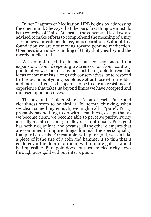In her Diagram of Meditation HPB begins by addressing the open mind. She says that the *very* first thing we must do is to conceive of Unity. At least at the conceptual level we are advised to make efforts to comprehend the meaning of Unity — Oneness, interdependence, nonseparation. Without this foundation we are not moving toward genuine meditation. Openness is an understanding of Unity that goes beyond the merely intellectual.

We do not need to defend our consciousness from expansion, from deepening awareness, or from contrary points of view. Openness is not just being able to read the ideas of communists along with conservatives, or to respond to the questions of young people as well as those who are older and more settled. To be open is to be free from resistance to experience that takes us beyond limits we have accepted and imposed upon ourselves.

The next of the Golden Stairs is "a pure heart". Purity and cleanliness seem to be similar. In normal thinking, when we clean something enough, we might call it "pure". Purity probably has nothing to do with cleanliness, except that as we become clean, we become able to perceive purity. Purity is really a state of being unalloyed — not mixed. Pure gold has nothing else in it, and because all the other elements that are combined in impure things diminish the special quality that purity reveals. For example, with pure gold, we can take a piece of it the size of a coin and hammer it so thin that it could cover the floor of a room; with impure gold it would be impossible. Pure gold does not tarnish; electricity flows through pure gold without interruption.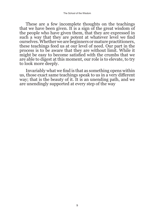These are a few incomplete thoughts on the teachings that we have been given. It is a sign of the great wisdom of the people who have given them, that they are expressed in such a way that they are potent at whatever level we find ourselves. Whether we are beginners or mature practitioners, these teachings feed us at our level of need. Our part in the process is to be aware that they are without limit. While it might be easy to become satisfied with the crumbs that we are able to digest at this moment, our role is to elevate, to try to look more deeply.

Invariably what we find is that as something opens within us, those exact same teachings speak to us in a very different way; that is the beauty of it. It is an unending path, and we are unendingly supported at every step of the way